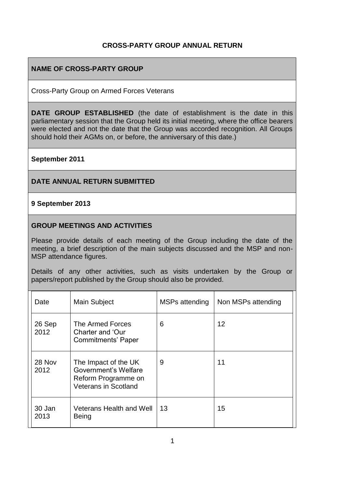## **CROSS-PARTY GROUP ANNUAL RETURN**

## **NAME OF CROSS-PARTY GROUP**

Cross-Party Group on Armed Forces Veterans

**DATE GROUP ESTABLISHED** (the date of establishment is the date in this parliamentary session that the Group held its initial meeting, where the office bearers were elected and not the date that the Group was accorded recognition. All Groups should hold their AGMs on, or before, the anniversary of this date.)

#### **September 2011**

#### **DATE ANNUAL RETURN SUBMITTED**

#### **9 September 2013**

#### **GROUP MEETINGS AND ACTIVITIES**

Please provide details of each meeting of the Group including the date of the meeting, a brief description of the main subjects discussed and the MSP and non-MSP attendance figures.

Details of any other activities, such as visits undertaken by the Group or papers/report published by the Group should also be provided.

| Date           | Main Subject                                                                                       | MSPs attending | Non MSPs attending |
|----------------|----------------------------------------------------------------------------------------------------|----------------|--------------------|
| 26 Sep<br>2012 | The Armed Forces<br>Charter and 'Our<br>Commitments' Paper                                         | 6              | 12                 |
| 28 Nov<br>2012 | The Impact of the UK<br>Government's Welfare<br>Reform Programme on<br><b>Veterans in Scotland</b> | 9              | 11                 |
| 30 Jan<br>2013 | <b>Veterans Health and Well</b><br><b>Being</b>                                                    | 13             | 15                 |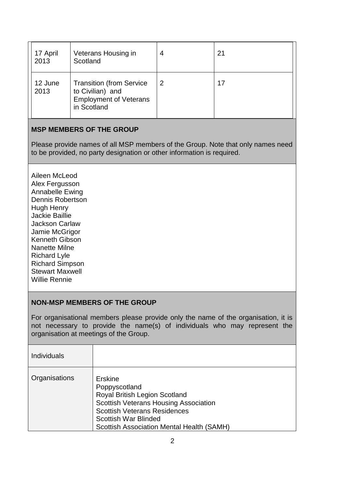| 17 April<br>2013 | Veterans Housing in<br>Scotland                                                                     | 4 | 21 |
|------------------|-----------------------------------------------------------------------------------------------------|---|----|
| 12 June<br>2013  | <b>Transition (from Service</b><br>to Civilian) and<br><b>Employment of Veterans</b><br>in Scotland |   | 17 |

# **MSP MEMBERS OF THE GROUP**

Please provide names of all MSP members of the Group. Note that only names need to be provided, no party designation or other information is required.

[Aileen McLeod](http://www.scottish.parliament.uk/msps/currentmsps/Aileen-McLeod-MSP.aspx) Alex Fergusson [Annabelle Ewing](http://www.scottish.parliament.uk/msps/currentmsps/Annabelle-Ewing-MSP.aspx) [Dennis Robertson](http://www.scottish.parliament.uk/msps/currentmsps/Dennis-Robertson-MSP.aspx) [Hugh Henry](http://www.scottish.parliament.uk/msps/currentmsps/Hugh-Henry-MSP.aspx) [Jackie Baillie](http://www.scottish.parliament.uk/msps/currentmsps/Jackie-Baillie-MSP.aspx) [Jackson Carlaw](http://www.scottish.parliament.uk/msps/currentmsps/Jackson-Carlaw-MSP.aspx) [Jamie McGrigor](http://www.scottish.parliament.uk/msps/currentmsps/Jamie-McGrigor-MSP.aspx) [Kenneth Gibson](http://www.scottish.parliament.uk/msps/currentmsps/Kenneth-Gibson-MSP.aspx) [Nanette Milne](http://www.scottish.parliament.uk/msps/currentmsps/Nanette-Milne-MSP.aspx) [Richard Lyle](http://www.scottish.parliament.uk/msps/currentmsps/Richard-Lyle-MSP.aspx) [Richard Simpson](http://www.scottish.parliament.uk/msps/currentmsps/Dr-Richard-Simpson-MSP.aspx) [Stewart Maxwell](http://www.scottish.parliament.uk/msps/currentmsps/Stewart-Maxwell-MSP.aspx) [Willie Rennie](http://www.scottish.parliament.uk/msps/currentmsps/Willie-Rennie-MSP.aspx)

#### **NON-MSP MEMBERS OF THE GROUP**

For organisational members please provide only the name of the organisation, it is not necessary to provide the name(s) of individuals who may represent the organisation at meetings of the Group.

| <b>Individuals</b> |                                                                                                                                                                                                                                            |
|--------------------|--------------------------------------------------------------------------------------------------------------------------------------------------------------------------------------------------------------------------------------------|
| Organisations      | Erskine<br>Poppyscotland<br><b>Royal British Legion Scotland</b><br><b>Scottish Veterans Housing Association</b><br><b>Scottish Veterans Residences</b><br><b>Scottish War Blinded</b><br><b>Scottish Association Mental Health (SAMH)</b> |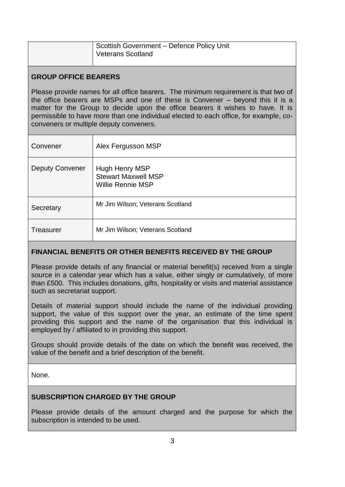| Scottish Government - Defence Policy Unit<br><b>Veterans Scotland</b> |
|-----------------------------------------------------------------------|
|                                                                       |

## **GROUP OFFICE BEARERS**

Please provide names for all office bearers. The minimum requirement is that two of the office bearers are MSPs and one of these is Convener – beyond this it is a matter for the Group to decide upon the office bearers it wishes to have. It is permissible to have more than one individual elected to each office, for example, coconveners or multiple deputy conveners.

| Convener               | Alex Fergusson MSP                                                |
|------------------------|-------------------------------------------------------------------|
| <b>Deputy Convener</b> | Hugh Henry MSP<br><b>Stewart Maxwell MSP</b><br>Willie Rennie MSP |
| Secretary              | Mr Jim Wilson; Veterans Scotland                                  |
| Treasurer              | Mr Jim Wilson; Veterans Scotland                                  |

# **FINANCIAL BENEFITS OR OTHER BENEFITS RECEIVED BY THE GROUP**

Please provide details of any financial or material benefit(s) received from a single source in a calendar year which has a value, either singly or cumulatively, of more than £500. This includes donations, gifts, hospitality or visits and material assistance such as secretariat support.

Details of material support should include the name of the individual providing support, the value of this support over the year, an estimate of the time spent providing this support and the name of the organisation that this individual is employed by / affiliated to in providing this support.

Groups should provide details of the date on which the benefit was received, the value of the benefit and a brief description of the benefit.

None.

# **SUBSCRIPTION CHARGED BY THE GROUP**

Please provide details of the amount charged and the purpose for which the subscription is intended to be used.